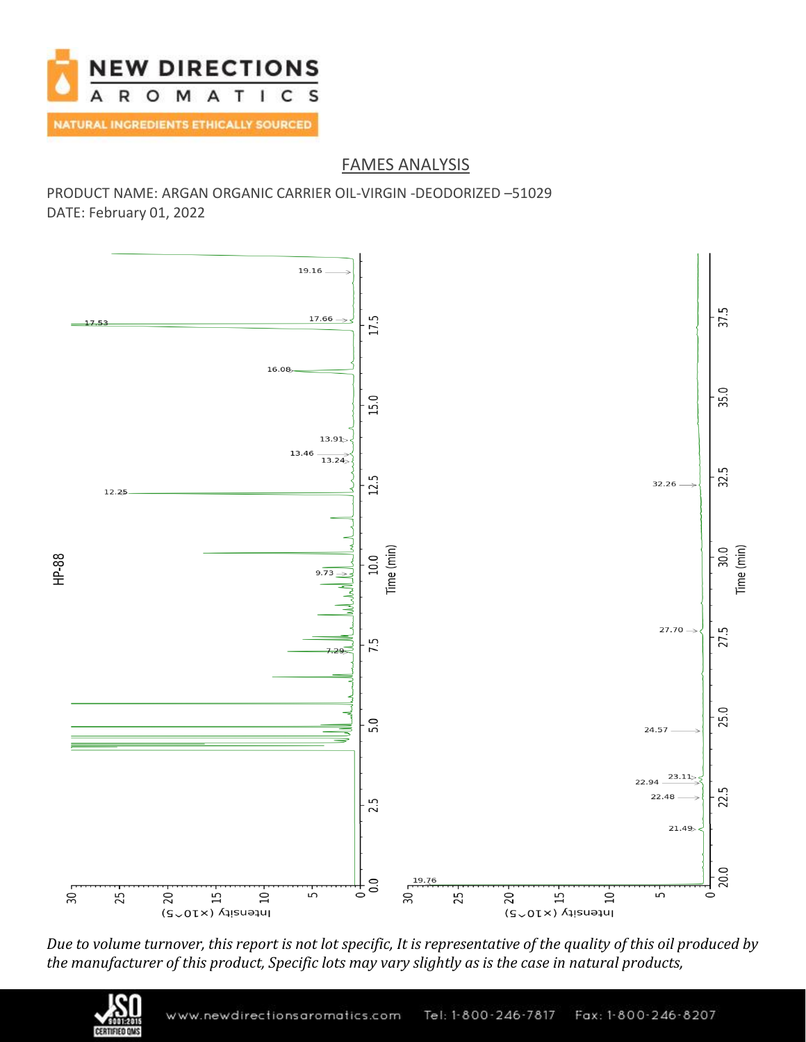

## FAMES ANALYSIS

PRODUCT NAME: ARGAN ORGANIC CARRIER OIL-VIRGIN -DEODORIZED –51029 DATE: February 01, 2022



*Due to volume turnover, this report is not lot specific, It is representative of the quality of this oil produced by the manufacturer of this product, Specific lots may vary slightly as is the case in natural products,*